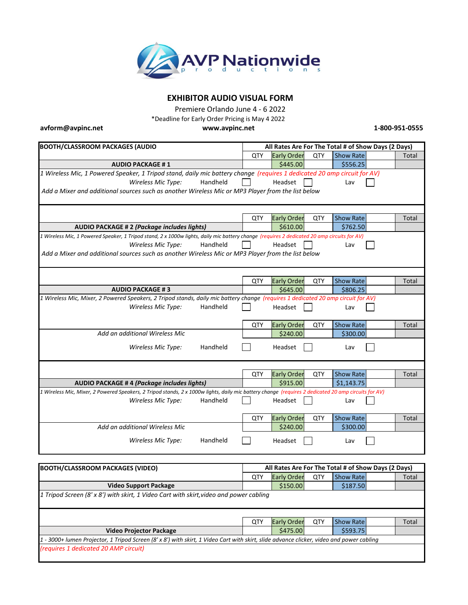

# **EXHIBITOR AUDIO VISUAL FORM**

Premiere Orlando June 4 - 6 2022

\*Deadline for Early Order Pricing is May 4 2022

**[avform@avpinc.net](mailto:avform@avpinc.net)**

**[ww](http://www.avpinc.net/)w.avpinc.net 1-800-951-0555**

| <b>BOOTH/CLASSROOM PACKAGES (AUDIO</b>                                                                                                               | All Rates Are For The Total # of Show Days (2 Days) |                    |     |                  |              |  |  |  |
|------------------------------------------------------------------------------------------------------------------------------------------------------|-----------------------------------------------------|--------------------|-----|------------------|--------------|--|--|--|
|                                                                                                                                                      | QTY                                                 | <b>Early Order</b> | QTY | <b>Show Rate</b> | Total        |  |  |  |
| <b>AUDIO PACKAGE #1</b>                                                                                                                              |                                                     | \$445.00           |     | \$556.25         |              |  |  |  |
| 1 Wireless Mic, 1 Powered Speaker, 1 Tripod stand, daily mic battery change (requires 1 dedicated 20 amp circuit for AV)                             |                                                     |                    |     |                  |              |  |  |  |
| Wireless Mic Type:<br>Handheld                                                                                                                       |                                                     | Headset            |     | Lav              |              |  |  |  |
| Add a Mixer and additional sources such as another Wireless Mic or MP3 Player from the list below                                                    |                                                     |                    |     |                  |              |  |  |  |
|                                                                                                                                                      |                                                     |                    |     |                  |              |  |  |  |
|                                                                                                                                                      |                                                     |                    |     |                  |              |  |  |  |
|                                                                                                                                                      | QTY                                                 | <b>Early Order</b> | QTY | <b>Show Rate</b> | Total        |  |  |  |
| <b>AUDIO PACKAGE # 2 (Package includes lights)</b>                                                                                                   |                                                     | \$610.00           |     | \$762.50         |              |  |  |  |
| 1 Wireless Mic, 1 Powered Speaker, 1 Tripod stand, 2 x 1000w lights, daily mic battery change (requires 2 dedicated 20 amp circuits for AV)          |                                                     |                    |     |                  |              |  |  |  |
| Wireless Mic Type:<br>Handheld                                                                                                                       |                                                     | Headset            |     | Lav              |              |  |  |  |
| Add a Mixer and additional sources such as another Wireless Mic or MP3 Player from the list below                                                    |                                                     |                    |     |                  |              |  |  |  |
|                                                                                                                                                      |                                                     |                    |     |                  |              |  |  |  |
|                                                                                                                                                      |                                                     |                    |     |                  |              |  |  |  |
|                                                                                                                                                      | QTY                                                 | <b>Early Order</b> | QTY | <b>Show Rate</b> | Total        |  |  |  |
| <b>AUDIO PACKAGE #3</b>                                                                                                                              |                                                     | \$645.00           |     | \$806.25         |              |  |  |  |
| 1 Wireless Mic, Mixer, 2 Powered Speakers, 2 Tripod stands, daily mic battery change (requires 1 dedicated 20 amp circuit for AV)                    |                                                     |                    |     |                  |              |  |  |  |
| Handheld<br>Wireless Mic Type:                                                                                                                       |                                                     | Headset            |     | Lav              |              |  |  |  |
|                                                                                                                                                      |                                                     |                    |     |                  |              |  |  |  |
|                                                                                                                                                      | QTY                                                 | <b>Early Order</b> | QTY | <b>Show Rate</b> | <b>Total</b> |  |  |  |
| Add an additional Wireless Mic                                                                                                                       |                                                     | \$240.00           |     | \$300.00         |              |  |  |  |
| Handheld<br>Wireless Mic Type:                                                                                                                       |                                                     | Headset            |     | Lav              |              |  |  |  |
|                                                                                                                                                      |                                                     |                    |     |                  |              |  |  |  |
|                                                                                                                                                      |                                                     |                    |     |                  |              |  |  |  |
|                                                                                                                                                      | QTY                                                 | <b>Early Order</b> | QTY | <b>Show Rate</b> | <b>Total</b> |  |  |  |
| <b>AUDIO PACKAGE #4 (Package includes lights)</b>                                                                                                    |                                                     | \$915.00           |     | \$1,143.75       |              |  |  |  |
| 1 Wireless Mic, Mixer, 2 Powered Speakers, 2 Tripod stands, 2 x 1000w lights, daily mic battery change (requires 2 dedicated 20 amp circuits for AV) |                                                     |                    |     |                  |              |  |  |  |
| Wireless Mic Type:<br>Handheld                                                                                                                       |                                                     | Headset            |     | Lav              |              |  |  |  |
|                                                                                                                                                      |                                                     |                    |     |                  |              |  |  |  |
|                                                                                                                                                      | <b>QTY</b>                                          | <b>Early Order</b> | QTY | <b>Show Rate</b> | Total        |  |  |  |
| Add an additional Wireless Mic                                                                                                                       |                                                     | \$240.00           |     | \$300.00         |              |  |  |  |
| Handheld<br>Wireless Mic Type:                                                                                                                       |                                                     | Headset            |     | Lav              |              |  |  |  |
|                                                                                                                                                      |                                                     |                    |     |                  |              |  |  |  |
|                                                                                                                                                      |                                                     |                    |     |                  |              |  |  |  |
|                                                                                                                                                      |                                                     |                    |     |                  |              |  |  |  |

| <b>BOOTH/CLASSROOM PACKAGES (VIDEO)</b>                                                                                                  | All Rates Are For The Total # of Show Days (2 Days) |                    |     |                  |  |       |  |  |
|------------------------------------------------------------------------------------------------------------------------------------------|-----------------------------------------------------|--------------------|-----|------------------|--|-------|--|--|
|                                                                                                                                          | QTY                                                 | <b>Early Order</b> | QTY | <b>Show Rate</b> |  | Total |  |  |
| <b>Video Support Package</b>                                                                                                             |                                                     | \$150.00           |     | \$187.50         |  |       |  |  |
| $\left 1\right\rangle$ Tripod Screen (8' x 8') with skirt, 1 Video Cart with skirt, video and power cabling                              |                                                     |                    |     |                  |  |       |  |  |
|                                                                                                                                          |                                                     |                    |     |                  |  |       |  |  |
|                                                                                                                                          |                                                     |                    |     |                  |  |       |  |  |
|                                                                                                                                          | QTY                                                 | <b>Early Order</b> | QTY | <b>Show Rate</b> |  | Total |  |  |
| <b>Video Projector Package</b>                                                                                                           |                                                     | \$475.00           |     | \$593.75         |  |       |  |  |
| 1 - 3000+ lumen Projector, 1 Tripod Screen (8' x 8') with skirt, 1 Video Cart with skirt, slide advance clicker, video and power cabling |                                                     |                    |     |                  |  |       |  |  |
| (requires 1 dedicated 20 AMP circuit)                                                                                                    |                                                     |                    |     |                  |  |       |  |  |
|                                                                                                                                          |                                                     |                    |     |                  |  |       |  |  |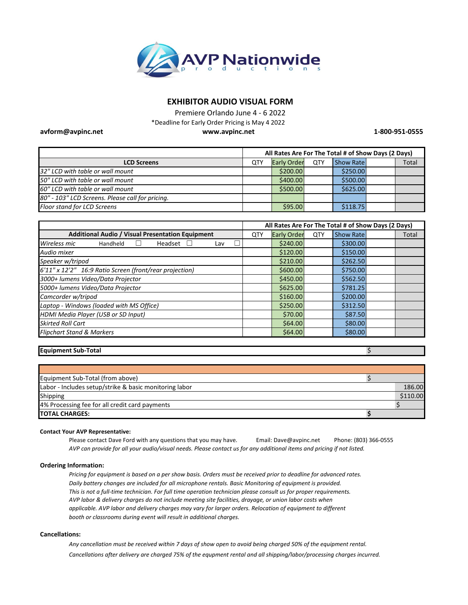

## **EXHIBITOR AUDIO VISUAL FORM**

**[ww](http://www.avpinc.net/)w.avpinc.net** Premiere Orlando June 4 - 6 2022 \*Deadline for Early Order Pricing is May 4 2022

**1-800-951-0555**

|                                                  | All Rates Are For The Total # of Show Days (2 Days) |                    |     |                  |  |       |
|--------------------------------------------------|-----------------------------------------------------|--------------------|-----|------------------|--|-------|
| <b>LCD Screens</b>                               | QTY                                                 | <b>Early Order</b> | QTY | <b>Show Rate</b> |  | Total |
| 32" LCD with table or wall mount                 |                                                     | \$200.00           |     | \$250.00         |  |       |
| 50" LCD with table or wall mount                 |                                                     | \$400.00           |     | \$500.00         |  |       |
| 60" LCD with table or wall mount                 |                                                     | \$500.00           |     | \$625.00         |  |       |
| 80" - 103" LCD Screens. Please call for pricing. |                                                     |                    |     |                  |  |       |
| Floor stand for LCD Screens                      |                                                     | \$95.00            |     | \$118.75         |  |       |

|                                                         | All Rates Are For The Total # of Show Days (2 Days) |                    |     |                  |       |
|---------------------------------------------------------|-----------------------------------------------------|--------------------|-----|------------------|-------|
| <b>Additional Audio / Visual Presentation Equipment</b> |                                                     | <b>Early Order</b> | QTY | <b>Show Rate</b> | Total |
| ┓<br>Wireless mic<br>Headset<br>Handheld<br>Lav         |                                                     | \$240.00           |     | \$300.00         |       |
| Audio mixer                                             |                                                     | \$120.00           |     | \$150.00         |       |
| Speaker w/tripod                                        |                                                     | \$210.00           |     | \$262.50         |       |
| 6'11" x 12'2" 16:9 Ratio Screen (front/rear projection) |                                                     | \$600.00           |     | \$750.00         |       |
| 3000+ lumens Video/Data Projector                       |                                                     | \$450.00           |     | \$562.50         |       |
| 5000+ lumens Video/Data Projector                       |                                                     | \$625.00           |     | \$781.25         |       |
| Camcorder w/tripod                                      |                                                     | \$160.00           |     | \$200.00         |       |
| Laptop - Windows (loaded with MS Office)                |                                                     | \$250.00           |     | \$312.50         |       |
| <b>HDMI Media Player (USB or SD Input)</b>              |                                                     | \$70.00            |     | \$87.50          |       |
| <b>Skirted Roll Cart</b>                                |                                                     | \$64.00            |     | \$80.00          |       |
| <b>Flipchart Stand &amp; Markers</b>                    |                                                     | \$64.00            |     | \$80.00          |       |

### **Equipment Sub-Total**

**[avform@avpinc.net](mailto:avform@avpinc.net)**

\$

| Equipment Sub-Total (from above)                       |          |
|--------------------------------------------------------|----------|
| Labor - Includes setup/strike & basic monitoring labor | 186.00   |
| Shipping                                               | \$110.00 |
| 4% Processing fee for all credit card payments         |          |
| <b>TOTAL CHARGES:</b>                                  |          |

#### **Contact Your AVP Representative:**

Please contact Dave Ford with any questions that you may have. Email: Dave@avpinc.net Phone: (803) 366-0555 *AVP can provide for all your audio/visual needs. Please contact us for any additional items and pricing if not listed.* Email: Dave@avpinc.net

#### **Ordering Information:**

*Pricing for equipment is based on a per show basis. Orders must be received prior to deadline for advanced rates. Daily battery changes are included for all microphone rentals. Basic Monitoring of equipment is provided. This is not a full-time technician. For full time operation technician please consult us for proper requirements. AVP labor & delivery charges do not include meeting site facilities, drayage, or union labor costs when applicable. AVP labor and delivery charges may vary for larger orders. Relocation of equipment to different booth or classrooms during event will result in additional charges.*

#### **Cancellations:**

*Any cancellation must be received within 7 days of show open to avoid being charged 50% of the equipment rental. Cancellations after delivery are charged 75% of the equpment rental and all shipping/labor/processing charges incurred.*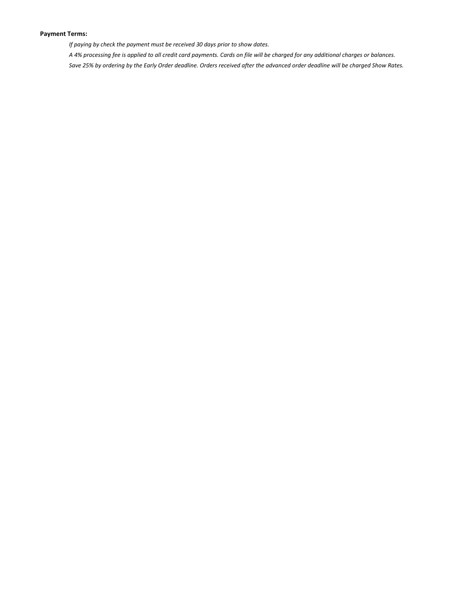### **Payment Terms:**

*If paying by check the payment must be received 30 days prior to show dates.*

*A 4% processing fee is applied to all credit card payments. Cards on file will be charged for any additional charges or balances. Save 25% by ordering by the Early Order deadline. Orders received after the advanced order deadline will be charged Show Rates.*